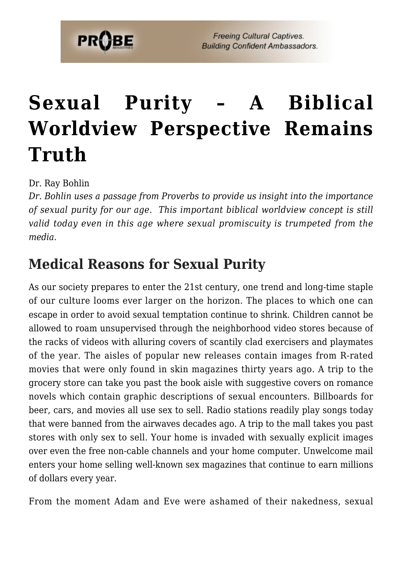# **[Sexual Purity – A Biblical](https://probe.org/sexual-purity/) [Worldview Perspective Remains](https://probe.org/sexual-purity/) [Truth](https://probe.org/sexual-purity/)**

Dr. Ray Bohlin

*Dr. Bohlin uses a passage from Proverbs to provide us insight into the importance of sexual purity for our age. This important biblical worldview concept is still valid today even in this age where sexual promiscuity is trumpeted from the media.*

# **Medical Reasons for Sexual Purity**

As our society prepares to enter the 21st century, one trend and long-time staple of our culture looms ever larger on the horizon. The places to which one can escape in order to avoid sexual temptation continue to shrink. Children cannot be allowed to roam unsupervised through the neighborhood video stores because of the racks of videos with alluring covers of scantily clad exercisers and playmates of the year. The aisles of popular new releases contain images from R-rated movies that were only found in skin magazines thirty years ago. A trip to the grocery store can take you past the book aisle with suggestive covers on romance novels which contain graphic descriptions of sexual encounters. Billboards for beer, cars, and movies all use sex to sell. Radio stations readily play songs today that were banned from the airwaves decades ago. A trip to the mall takes you past stores with only sex to sell. Your home is invaded with sexually explicit images over even the free non-cable channels and your home computer. Unwelcome mail enters your home selling well-known sex magazines that continue to earn millions of dollars every year.

From the moment Adam and Eve were ashamed of their nakedness, sexual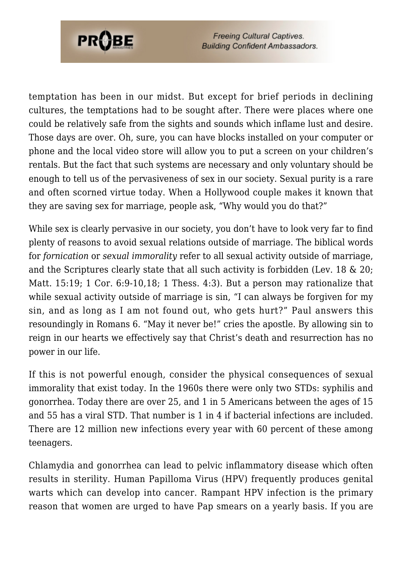

temptation has been in our midst. But except for brief periods in declining cultures, the temptations had to be sought after. There were places where one could be relatively safe from the sights and sounds which inflame lust and desire. Those days are over. Oh, sure, you can have blocks installed on your computer or phone and the local video store will allow you to put a screen on your children's rentals. But the fact that such systems are necessary and only voluntary should be enough to tell us of the pervasiveness of sex in our society. Sexual purity is a rare and often scorned virtue today. When a Hollywood couple makes it known that they are saving sex for marriage, people ask, "Why would you do that?"

While sex is clearly pervasive in our society, you don't have to look very far to find plenty of reasons to avoid sexual relations outside of marriage. The biblical words for *fornication* or *sexual immorality* refer to all sexual activity outside of marriage, and the Scriptures clearly state that all such activity is forbidden (Lev. 18 & 20; Matt. 15:19; 1 Cor. 6:9-10,18; 1 Thess. 4:3). But a person may rationalize that while sexual activity outside of marriage is sin, "I can always be forgiven for my sin, and as long as I am not found out, who gets hurt?" Paul answers this resoundingly in Romans 6. "May it never be!" cries the apostle. By allowing sin to reign in our hearts we effectively say that Christ's death and resurrection has no power in our life.

If this is not powerful enough, consider the physical consequences of sexual immorality that exist today. In the 1960s there were only two STDs: syphilis and gonorrhea. Today there are over 25, and 1 in 5 Americans between the ages of 15 and 55 has a viral STD. That number is 1 in 4 if bacterial infections are included. There are 12 million new infections every year with 60 percent of these among teenagers.

Chlamydia and gonorrhea can lead to pelvic inflammatory disease which often results in sterility. Human Papilloma Virus (HPV) frequently produces genital warts which can develop into cancer. Rampant HPV infection is the primary reason that women are urged to have Pap smears on a yearly basis. If you are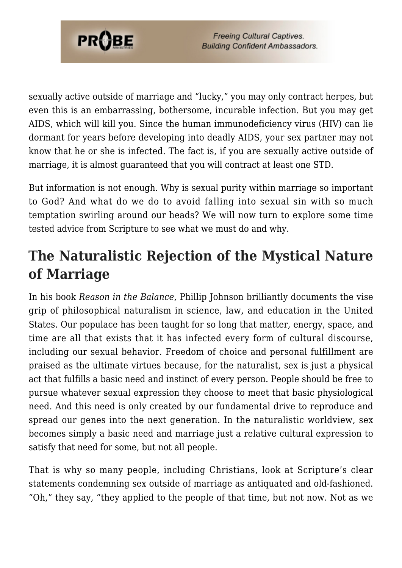

sexually active outside of marriage and "lucky," you may only contract herpes, but even this is an embarrassing, bothersome, incurable infection. But you may get AIDS, which will kill you. Since the human immunodeficiency virus (HIV) can lie dormant for years before developing into deadly AIDS, your sex partner may not know that he or she is infected. The fact is, if you are sexually active outside of marriage, it is almost guaranteed that you will contract at least one STD.

But information is not enough. Why is sexual purity within marriage so important to God? And what do we do to avoid falling into sexual sin with so much temptation swirling around our heads? We will now turn to explore some time tested advice from Scripture to see what we must do and why.

# **The Naturalistic Rejection of the Mystical Nature of Marriage**

In his book *Reason in the Balance*, Phillip Johnson brilliantly documents the vise grip of philosophical naturalism in science, law, and education in the United States. Our populace has been taught for so long that matter, energy, space, and time are all that exists that it has infected every form of cultural discourse, including our sexual behavior. Freedom of choice and personal fulfillment are praised as the ultimate virtues because, for the naturalist, sex is just a physical act that fulfills a basic need and instinct of every person. People should be free to pursue whatever sexual expression they choose to meet that basic physiological need. And this need is only created by our fundamental drive to reproduce and spread our genes into the next generation. In the naturalistic worldview, sex becomes simply a basic need and marriage just a relative cultural expression to satisfy that need for some, but not all people.

That is why so many people, including Christians, look at Scripture's clear statements condemning sex outside of marriage as antiquated and old-fashioned. "Oh," they say, "they applied to the people of that time, but not now. Not as we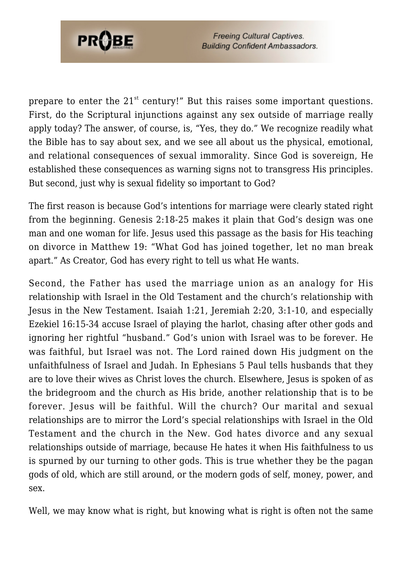

prepare to enter the  $21<sup>st</sup>$  century!" But this raises some important questions. First, do the Scriptural injunctions against any sex outside of marriage really apply today? The answer, of course, is, "Yes, they do." We recognize readily what the Bible has to say about sex, and we see all about us the physical, emotional, and relational consequences of sexual immorality. Since God is sovereign, He established these consequences as warning signs not to transgress His principles. But second, just why is sexual fidelity so important to God?

The first reason is because God's intentions for marriage were clearly stated right from the beginning. Genesis 2:18-25 makes it plain that God's design was one man and one woman for life. Jesus used this passage as the basis for His teaching on divorce in Matthew 19: "What God has joined together, let no man break apart." As Creator, God has every right to tell us what He wants.

Second, the Father has used the marriage union as an analogy for His relationship with Israel in the Old Testament and the church's relationship with Jesus in the New Testament. Isaiah 1:21, Jeremiah 2:20, 3:1-10, and especially Ezekiel 16:15-34 accuse Israel of playing the harlot, chasing after other gods and ignoring her rightful "husband." God's union with Israel was to be forever. He was faithful, but Israel was not. The Lord rained down His judgment on the unfaithfulness of Israel and Judah. In Ephesians 5 Paul tells husbands that they are to love their wives as Christ loves the church. Elsewhere, Jesus is spoken of as the bridegroom and the church as His bride, another relationship that is to be forever. Jesus will be faithful. Will the church? Our marital and sexual relationships are to mirror the Lord's special relationships with Israel in the Old Testament and the church in the New. God hates divorce and any sexual relationships outside of marriage, because He hates it when His faithfulness to us is spurned by our turning to other gods. This is true whether they be the pagan gods of old, which are still around, or the modern gods of self, money, power, and sex.

Well, we may know what is right, but knowing what is right is often not the same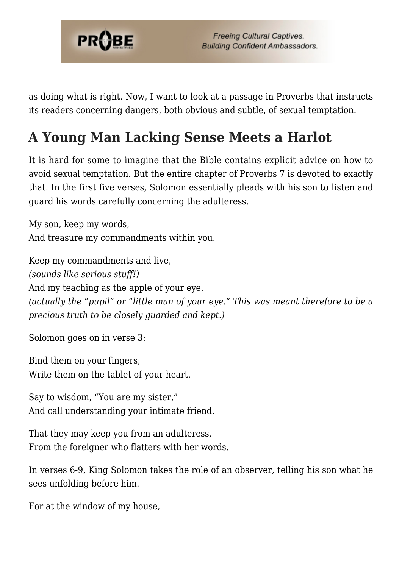

as doing what is right. Now, I want to look at a passage in Proverbs that instructs its readers concerning dangers, both obvious and subtle, of sexual temptation.

### **A Young Man Lacking Sense Meets a Harlot**

It is hard for some to imagine that the Bible contains explicit advice on how to avoid sexual temptation. But the entire chapter of Proverbs 7 is devoted to exactly that. In the first five verses, Solomon essentially pleads with his son to listen and guard his words carefully concerning the adulteress.

My son, keep my words, And treasure my commandments within you.

Keep my commandments and live, *(sounds like serious stuff!)* And my teaching as the apple of your eye. *(actually the "pupil" or "little man of your eye." This was meant therefore to be a precious truth to be closely guarded and kept.)*

Solomon goes on in verse 3:

Bind them on your fingers; Write them on the tablet of your heart.

Say to wisdom, "You are my sister," And call understanding your intimate friend.

That they may keep you from an adulteress, From the foreigner who flatters with her words.

In verses 6-9, King Solomon takes the role of an observer, telling his son what he sees unfolding before him.

For at the window of my house,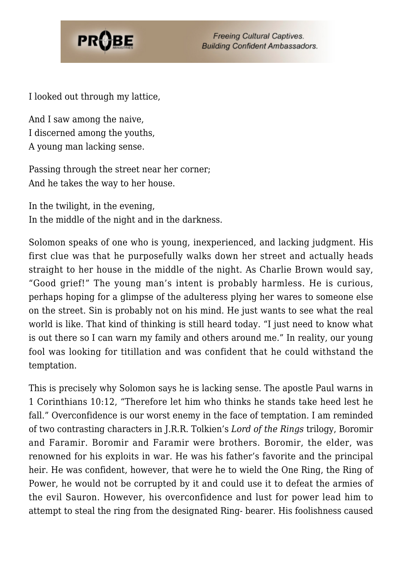

I looked out through my lattice,

And I saw among the naive, I discerned among the youths, A young man lacking sense.

Passing through the street near her corner; And he takes the way to her house.

In the twilight, in the evening, In the middle of the night and in the darkness.

Solomon speaks of one who is young, inexperienced, and lacking judgment. His first clue was that he purposefully walks down her street and actually heads straight to her house in the middle of the night. As Charlie Brown would say, "Good grief!" The young man's intent is probably harmless. He is curious, perhaps hoping for a glimpse of the adulteress plying her wares to someone else on the street. Sin is probably not on his mind. He just wants to see what the real world is like. That kind of thinking is still heard today. "I just need to know what is out there so I can warn my family and others around me." In reality, our young fool was looking for titillation and was confident that he could withstand the temptation.

This is precisely why Solomon says he is lacking sense. The apostle Paul warns in 1 Corinthians 10:12, "Therefore let him who thinks he stands take heed lest he fall." Overconfidence is our worst enemy in the face of temptation. I am reminded of two contrasting characters in J.R.R. Tolkien's *Lord of the Rings* trilogy, Boromir and Faramir. Boromir and Faramir were brothers. Boromir, the elder, was renowned for his exploits in war. He was his father's favorite and the principal heir. He was confident, however, that were he to wield the One Ring, the Ring of Power, he would not be corrupted by it and could use it to defeat the armies of the evil Sauron. However, his overconfidence and lust for power lead him to attempt to steal the ring from the designated Ring- bearer. His foolishness caused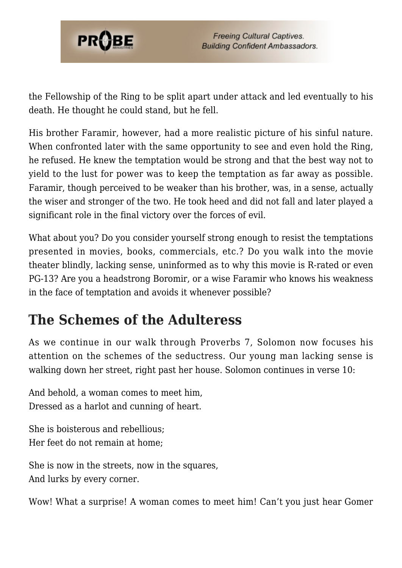

the Fellowship of the Ring to be split apart under attack and led eventually to his death. He thought he could stand, but he fell.

His brother Faramir, however, had a more realistic picture of his sinful nature. When confronted later with the same opportunity to see and even hold the Ring, he refused. He knew the temptation would be strong and that the best way not to yield to the lust for power was to keep the temptation as far away as possible. Faramir, though perceived to be weaker than his brother, was, in a sense, actually the wiser and stronger of the two. He took heed and did not fall and later played a significant role in the final victory over the forces of evil.

What about you? Do you consider yourself strong enough to resist the temptations presented in movies, books, commercials, etc.? Do you walk into the movie theater blindly, lacking sense, uninformed as to why this movie is R-rated or even PG-13? Are you a headstrong Boromir, or a wise Faramir who knows his weakness in the face of temptation and avoids it whenever possible?

#### **The Schemes of the Adulteress**

As we continue in our walk through Proverbs 7, Solomon now focuses his attention on the schemes of the seductress. Our young man lacking sense is walking down her street, right past her house. Solomon continues in verse 10:

And behold, a woman comes to meet him, Dressed as a harlot and cunning of heart.

She is boisterous and rebellious; Her feet do not remain at home;

She is now in the streets, now in the squares, And lurks by every corner.

Wow! What a surprise! A woman comes to meet him! Can't you just hear Gomer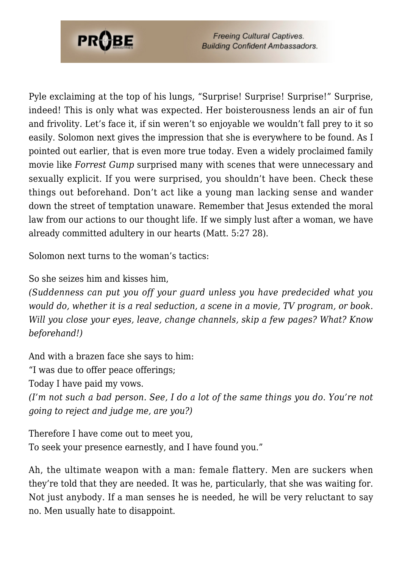

Pyle exclaiming at the top of his lungs, "Surprise! Surprise! Surprise!" Surprise, indeed! This is only what was expected. Her boisterousness lends an air of fun and frivolity. Let's face it, if sin weren't so enjoyable we wouldn't fall prey to it so easily. Solomon next gives the impression that she is everywhere to be found. As I pointed out earlier, that is even more true today. Even a widely proclaimed family movie like *Forrest Gump* surprised many with scenes that were unnecessary and sexually explicit. If you were surprised, you shouldn't have been. Check these things out beforehand. Don't act like a young man lacking sense and wander down the street of temptation unaware. Remember that Jesus extended the moral law from our actions to our thought life. If we simply lust after a woman, we have already committed adultery in our hearts (Matt. 5:27 28).

Solomon next turns to the woman's tactics:

So she seizes him and kisses him,

*(Suddenness can put you off your guard unless you have predecided what you would do, whether it is a real seduction, a scene in a movie, TV program, or book. Will you close your eyes, leave, change channels, skip a few pages? What? Know beforehand!)*

And with a brazen face she says to him:

"I was due to offer peace offerings;

Today I have paid my vows.

*(I'm not such a bad person. See, I do a lot of the same things you do. You're not going to reject and judge me, are you?)*

Therefore I have come out to meet you, To seek your presence earnestly, and I have found you."

Ah, the ultimate weapon with a man: female flattery. Men are suckers when they're told that they are needed. It was he, particularly, that she was waiting for. Not just anybody. If a man senses he is needed, he will be very reluctant to say no. Men usually hate to disappoint.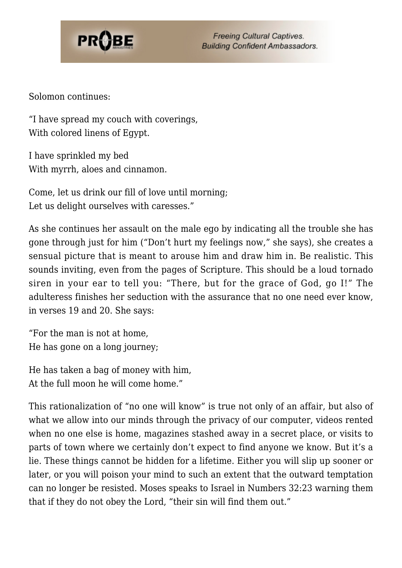

Solomon continues:

"I have spread my couch with coverings, With colored linens of Egypt.

I have sprinkled my bed With myrrh, aloes and cinnamon.

Come, let us drink our fill of love until morning; Let us delight ourselves with caresses."

As she continues her assault on the male ego by indicating all the trouble she has gone through just for him ("Don't hurt my feelings now," she says), she creates a sensual picture that is meant to arouse him and draw him in. Be realistic. This sounds inviting, even from the pages of Scripture. This should be a loud tornado siren in your ear to tell you: "There, but for the grace of God, go I!" The adulteress finishes her seduction with the assurance that no one need ever know, in verses 19 and 20. She says:

"For the man is not at home, He has gone on a long journey;

He has taken a bag of money with him, At the full moon he will come home."

This rationalization of "no one will know" is true not only of an affair, but also of what we allow into our minds through the privacy of our computer, videos rented when no one else is home, magazines stashed away in a secret place, or visits to parts of town where we certainly don't expect to find anyone we know. But it's a lie. These things cannot be hidden for a lifetime. Either you will slip up sooner or later, or you will poison your mind to such an extent that the outward temptation can no longer be resisted. Moses speaks to Israel in Numbers 32:23 warning them that if they do not obey the Lord, "their sin will find them out."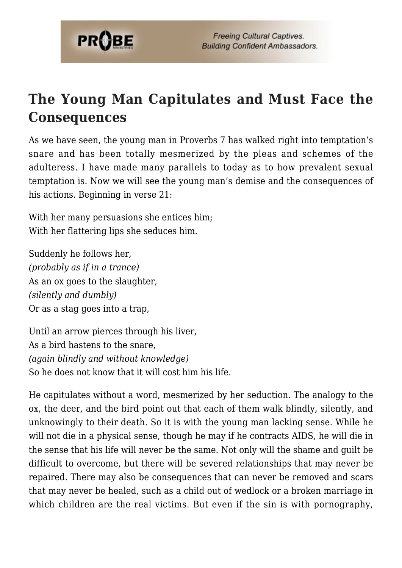

# **The Young Man Capitulates and Must Face the Consequences**

As we have seen, the young man in Proverbs 7 has walked right into temptation's snare and has been totally mesmerized by the pleas and schemes of the adulteress. I have made many parallels to today as to how prevalent sexual temptation is. Now we will see the young man's demise and the consequences of his actions. Beginning in verse 21:

With her many persuasions she entices him; With her flattering lips she seduces him.

Suddenly he follows her, *(probably as if in a trance)* As an ox goes to the slaughter, *(silently and dumbly)* Or as a stag goes into a trap,

Until an arrow pierces through his liver, As a bird hastens to the snare, *(again blindly and without knowledge)* So he does not know that it will cost him his life.

He capitulates without a word, mesmerized by her seduction. The analogy to the ox, the deer, and the bird point out that each of them walk blindly, silently, and unknowingly to their death. So it is with the young man lacking sense. While he will not die in a physical sense, though he may if he contracts AIDS, he will die in the sense that his life will never be the same. Not only will the shame and guilt be difficult to overcome, but there will be severed relationships that may never be repaired. There may also be consequences that can never be removed and scars that may never be healed, such as a child out of wedlock or a broken marriage in which children are the real victims. But even if the sin is with pornography,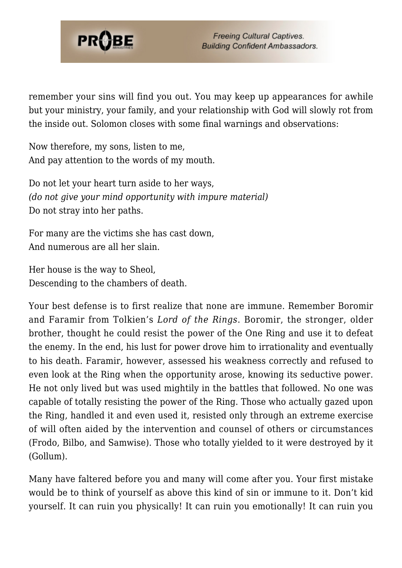

remember your sins will find you out. You may keep up appearances for awhile but your ministry, your family, and your relationship with God will slowly rot from the inside out. Solomon closes with some final warnings and observations:

Now therefore, my sons, listen to me, And pay attention to the words of my mouth.

Do not let your heart turn aside to her ways, *(do not give your mind opportunity with impure material)* Do not stray into her paths.

For many are the victims she has cast down, And numerous are all her slain.

Her house is the way to Sheol, Descending to the chambers of death.

Your best defense is to first realize that none are immune. Remember Boromir and Faramir from Tolkien's *Lord of the Rings*. Boromir, the stronger, older brother, thought he could resist the power of the One Ring and use it to defeat the enemy. In the end, his lust for power drove him to irrationality and eventually to his death. Faramir, however, assessed his weakness correctly and refused to even look at the Ring when the opportunity arose, knowing its seductive power. He not only lived but was used mightily in the battles that followed. No one was capable of totally resisting the power of the Ring. Those who actually gazed upon the Ring, handled it and even used it, resisted only through an extreme exercise of will often aided by the intervention and counsel of others or circumstances (Frodo, Bilbo, and Samwise). Those who totally yielded to it were destroyed by it (Gollum).

Many have faltered before you and many will come after you. Your first mistake would be to think of yourself as above this kind of sin or immune to it. Don't kid yourself. It can ruin you physically! It can ruin you emotionally! It can ruin you